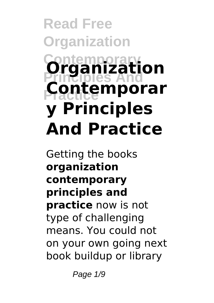## **Read Free Organization Contemporary Organization Principles And Practice Contemporar y Principles And Practice**

Getting the books **organization contemporary principles and practice** now is not type of challenging means. You could not on your own going next book buildup or library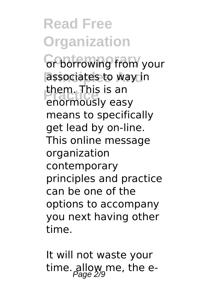**Controwing from your** associates to way in **Practice Internal Internal**<br>Proportionally easy them. This is an means to specifically get lead by on-line. This online message organization contemporary principles and practice can be one of the options to accompany you next having other time.

It will not waste your time. allow me, the e-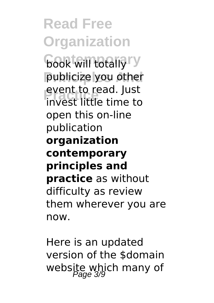**book** will totally "Y publicize you other **Practice** invest little time to event to read. Just open this on-line publication **organization contemporary principles and practice** as without difficulty as review them wherever you are now.

Here is an updated version of the \$domain website which many of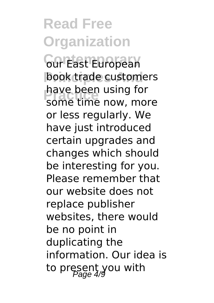**Contemporary** our East European **book trade customers** have been using for<br>some time now mo some time now, more or less regularly. We have just introduced certain upgrades and changes which should be interesting for you. Please remember that our website does not replace publisher websites, there would be no point in duplicating the information. Our idea is to present you with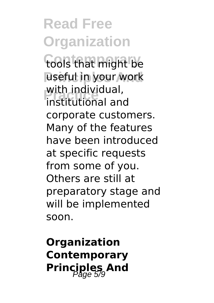tools that might be useful in your work **Practice institutional and** with individual, corporate customers. Many of the features have been introduced at specific requests from some of you. Others are still at preparatory stage and will be implemented soon.

**Organization Contemporary Principles And**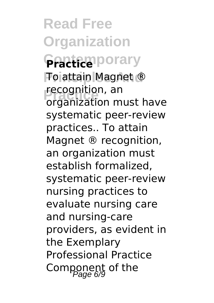**Read Free Organization Contemporary Practice To attain Magnet ® Precognition**, an organization must have systematic peer-review practices.. To attain Magnet ® recognition, an organization must establish formalized, systematic peer-review nursing practices to evaluate nursing care and nursing-care providers, as evident in the Exemplary Professional Practice Component of the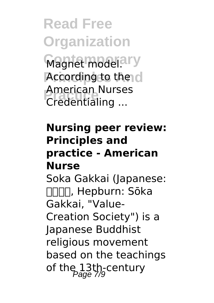**Read Free Organization Magnet model.ary According to the d Practice** Credentialing ... American Nurses

#### **Nursing peer review: Principles and practice - American Nurse**

Soka Gakkai (Japanese: 創価学会, Hepburn: Sōka Gakkai, "Value-Creation Society") is a Japanese Buddhist religious movement based on the teachings of the 13th-century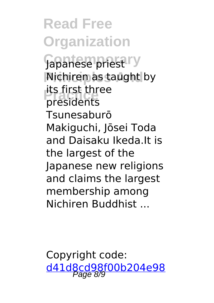**Contemporary** Japanese priest **Nichiren as taught by Presidents** its first three **Tsunesaburō** Makiguchi, Jōsei Toda and Daisaku Ikeda.It is the largest of the Japanese new religions and claims the largest membership among Nichiren Buddhist ...

Copyright code: [d41d8cd98f00b204e98](/sitemap.xml)